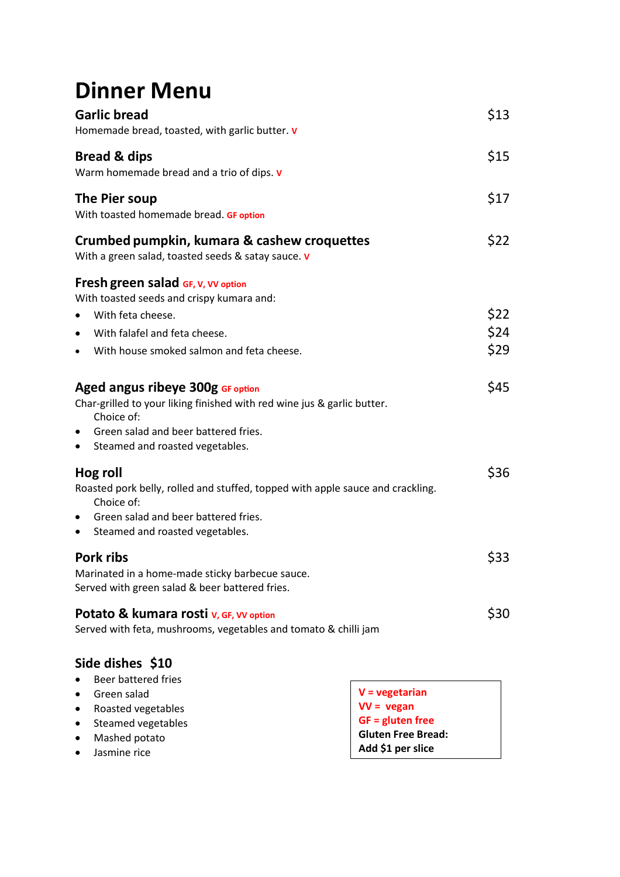## **Dinner Menu**

| <b>Garlic bread</b><br>Homemade bread, toasted, with garlic butter. v                                                                                                                                                          |                    |  |
|--------------------------------------------------------------------------------------------------------------------------------------------------------------------------------------------------------------------------------|--------------------|--|
| <b>Bread &amp; dips</b><br>Warm homemade bread and a trio of dips. v                                                                                                                                                           | \$15               |  |
| The Pier soup<br>With toasted homemade bread. GF option                                                                                                                                                                        |                    |  |
| Crumbed pumpkin, kumara & cashew croquettes<br>With a green salad, toasted seeds & satay sauce. v                                                                                                                              | \$22               |  |
| <b>Fresh green salad GF, V, VV option</b>                                                                                                                                                                                      |                    |  |
| With toasted seeds and crispy kumara and:                                                                                                                                                                                      |                    |  |
| With feta cheese.<br>$\bullet$                                                                                                                                                                                                 | \$22<br>\$24       |  |
| With falafel and feta cheese.<br>$\bullet$                                                                                                                                                                                     |                    |  |
| With house smoked salmon and feta cheese.<br>$\bullet$                                                                                                                                                                         | \$29               |  |
| Aged angus ribeye 300g GF option<br>Char-grilled to your liking finished with red wine jus & garlic butter.<br>Choice of:<br>Green salad and beer battered fries.<br>$\bullet$<br>Steamed and roasted vegetables.<br>$\bullet$ | \$45               |  |
| Hog roll<br>Roasted pork belly, rolled and stuffed, topped with apple sauce and crackling.<br>Choice of:<br>Green salad and beer battered fries.<br>$\bullet$<br>Steamed and roasted vegetables.<br>$\bullet$                  | \$36               |  |
| Pork ribs<br>Marinated in a home-made sticky barbecue sauce.<br>Served with green salad & beer battered fries.                                                                                                                 |                    |  |
| Potato & kumara rosti v, GF, VV option<br>Served with feta, mushrooms, vegetables and tomato & chilli jam                                                                                                                      |                    |  |
| Side dishes \$10                                                                                                                                                                                                               |                    |  |
| <b>Beer battered fries</b>                                                                                                                                                                                                     |                    |  |
| Green salad                                                                                                                                                                                                                    | V = vegetarian     |  |
| Roasted vegetables<br>$\bullet$                                                                                                                                                                                                | $VV = vegan$       |  |
| Steamed vegetables                                                                                                                                                                                                             | $GF = gluten free$ |  |

- Mashed potato
- Jasmine rice
- **GF = gluten free Gluten Free Bread:**
- **Add \$1 per slice**